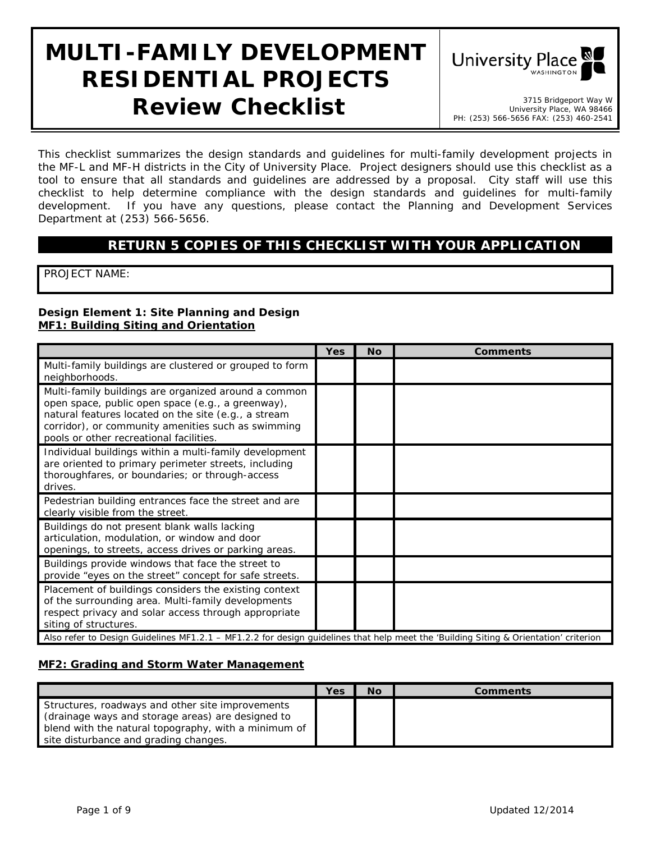# **MULTI-FAMILY DEVELOPMENT RESIDENTIAL PROJECTS Review Checklist 1998 Checklist Stephend May W University Place, WA 98466**



University Place, WA 98466 PH: (253) 566-5656 FAX: (253) 460-2541

*This checklist summarizes the design standards and guidelines for multi-family development projects in the MF-L and MF-H districts in the City of University Place. Project designers should use this checklist as a*  tool to ensure that all standards and guidelines are addressed by a proposal. City staff will use this *checklist to help determine compliance with the design standards and guidelines for multi-family development. If you have any questions, please contact the Planning and Development Services Department at (253) 566-5656.*

## **RETURN 5 COPIES OF THIS CHECKLIST WITH YOUR APPLICATION**

PROJECT NAME:

#### **Design Element 1: Site Planning and Design MF1: Building Siting and Orientation**

|                                                                                                                                                                                                                                                                    | <b>Yes</b> | <b>No</b> | <b>Comments</b> |  |  |
|--------------------------------------------------------------------------------------------------------------------------------------------------------------------------------------------------------------------------------------------------------------------|------------|-----------|-----------------|--|--|
| Multi-family buildings are clustered or grouped to form<br>neighborhoods.                                                                                                                                                                                          |            |           |                 |  |  |
| Multi-family buildings are organized around a common<br>open space, public open space (e.g., a greenway),<br>natural features located on the site (e.g., a stream<br>corridor), or community amenities such as swimming<br>pools or other recreational facilities. |            |           |                 |  |  |
| Individual buildings within a multi-family development<br>are oriented to primary perimeter streets, including<br>thoroughfares, or boundaries; or through-access<br>drives.                                                                                       |            |           |                 |  |  |
| Pedestrian building entrances face the street and are<br>clearly visible from the street.                                                                                                                                                                          |            |           |                 |  |  |
| Buildings do not present blank walls lacking<br>articulation, modulation, or window and door<br>openings, to streets, access drives or parking areas.                                                                                                              |            |           |                 |  |  |
| Buildings provide windows that face the street to<br>provide "eyes on the street" concept for safe streets.                                                                                                                                                        |            |           |                 |  |  |
| Placement of buildings considers the existing context<br>of the surrounding area. Multi-family developments<br>respect privacy and solar access through appropriate<br>siting of structures.                                                                       |            |           |                 |  |  |
| Also refer to Design Guidelines MF1.2.1 - MF1.2.2 for design guidelines that help meet the 'Building Siting & Orientation' criterion                                                                                                                               |            |           |                 |  |  |

#### **MF2: Grading and Storm Water Management**

|                                                                                                           | Yes | No | Comments |
|-----------------------------------------------------------------------------------------------------------|-----|----|----------|
| Structures, roadways and other site improvements                                                          |     |    |          |
| (drainage ways and storage areas) are designed to<br>blend with the natural topography, with a minimum of |     |    |          |
| site disturbance and grading changes.                                                                     |     |    |          |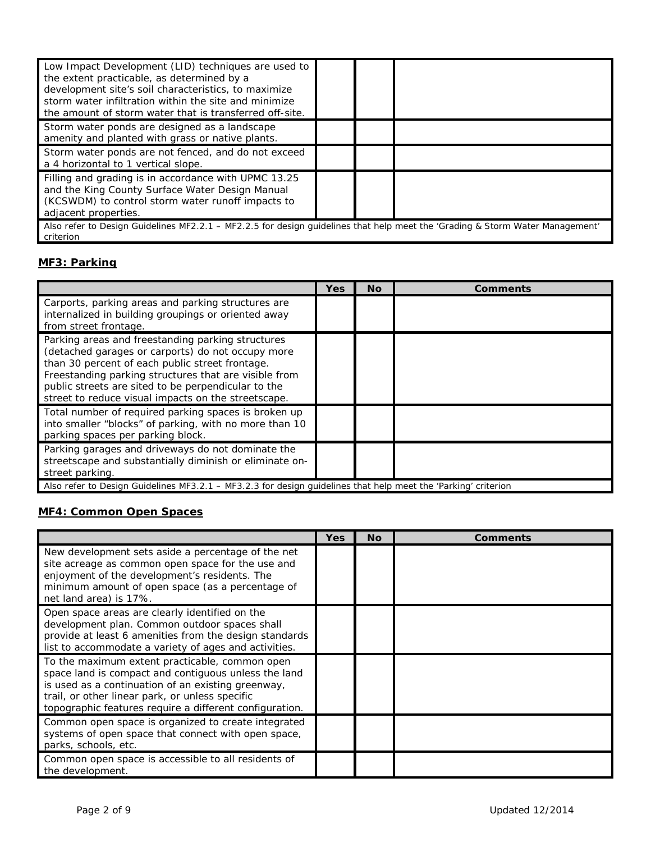| Low Impact Development (LID) techniques are used to<br>the extent practicable, as determined by a<br>development site's soil characteristics, to maximize<br>storm water infiltration within the site and minimize<br>the amount of storm water that is transferred off-site. |  |  |  |  |
|-------------------------------------------------------------------------------------------------------------------------------------------------------------------------------------------------------------------------------------------------------------------------------|--|--|--|--|
| Storm water ponds are designed as a landscape<br>amenity and planted with grass or native plants.                                                                                                                                                                             |  |  |  |  |
| Storm water ponds are not fenced, and do not exceed<br>a 4 horizontal to 1 vertical slope.                                                                                                                                                                                    |  |  |  |  |
| Filling and grading is in accordance with UPMC 13.25<br>and the King County Surface Water Design Manual<br>(KCSWDM) to control storm water runoff impacts to<br>adjacent properties.                                                                                          |  |  |  |  |
| Also refer to Design Guidelines MF2.2.1 - MF2.2.5 for design guidelines that help meet the 'Grading & Storm Water Management'<br>criterion                                                                                                                                    |  |  |  |  |

## **MF3: Parking**

|                                                                                                                                                                                                                                                                                                                                  | Yes | Νo | <b>Comments</b> |
|----------------------------------------------------------------------------------------------------------------------------------------------------------------------------------------------------------------------------------------------------------------------------------------------------------------------------------|-----|----|-----------------|
| Carports, parking areas and parking structures are<br>internalized in building groupings or oriented away<br>from street frontage.                                                                                                                                                                                               |     |    |                 |
| Parking areas and freestanding parking structures<br>(detached garages or carports) do not occupy more<br>than 30 percent of each public street frontage.<br>Freestanding parking structures that are visible from<br>public streets are sited to be perpendicular to the<br>street to reduce visual impacts on the streetscape. |     |    |                 |
| Total number of required parking spaces is broken up<br>into smaller "blocks" of parking, with no more than 10<br>parking spaces per parking block.                                                                                                                                                                              |     |    |                 |
| Parking garages and driveways do not dominate the<br>streetscape and substantially diminish or eliminate on-<br>street parking.                                                                                                                                                                                                  |     |    |                 |
| Also refer to Design Guidelines MF3.2.1 – MF3.2.3 for design guidelines that help meet the 'Parking' criterion                                                                                                                                                                                                                   |     |    |                 |

# **MF4: Common Open Spaces**

|                                                                                                                                                                                                                                                                            | Yes | <b>No</b> | <b>Comments</b> |
|----------------------------------------------------------------------------------------------------------------------------------------------------------------------------------------------------------------------------------------------------------------------------|-----|-----------|-----------------|
| New development sets aside a percentage of the net<br>site acreage as common open space for the use and<br>enjoyment of the development's residents. The<br>minimum amount of open space (as a percentage of<br>net land area) is 17%.                                     |     |           |                 |
| Open space areas are clearly identified on the<br>development plan. Common outdoor spaces shall<br>provide at least 6 amenities from the design standards<br>list to accommodate a variety of ages and activities.                                                         |     |           |                 |
| To the maximum extent practicable, common open<br>space land is compact and contiguous unless the land<br>is used as a continuation of an existing greenway,<br>trail, or other linear park, or unless specific<br>topographic features require a different configuration. |     |           |                 |
| Common open space is organized to create integrated<br>systems of open space that connect with open space,<br>parks, schools, etc.                                                                                                                                         |     |           |                 |
| Common open space is accessible to all residents of<br>the development.                                                                                                                                                                                                    |     |           |                 |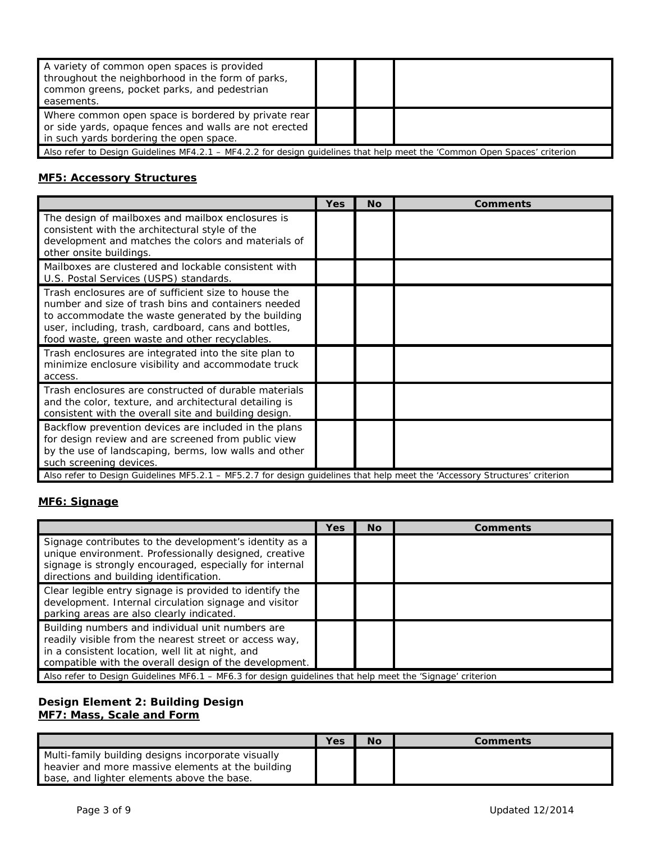| A variety of common open spaces is provided<br>throughout the neighborhood in the form of parks,<br>common greens, pocket parks, and pedestrian<br>easements. |  |  |  |  |
|---------------------------------------------------------------------------------------------------------------------------------------------------------------|--|--|--|--|
| Where common open space is bordered by private rear<br>or side yards, opaque fences and walls are not erected<br>in such yards bordering the open space.      |  |  |  |  |
| Also refer to Design Guidelines MF4.2.1 – MF4.2.2 for design guidelines that help meet the 'Common Open Spaces' criterion                                     |  |  |  |  |

#### **MF5: Accessory Structures**

|                                                                                                                                                                                                                                                                             | Yes | Nο | <b>Comments</b> |
|-----------------------------------------------------------------------------------------------------------------------------------------------------------------------------------------------------------------------------------------------------------------------------|-----|----|-----------------|
| The design of mailboxes and mailbox enclosures is<br>consistent with the architectural style of the<br>development and matches the colors and materials of<br>other onsite buildings.                                                                                       |     |    |                 |
| Mailboxes are clustered and lockable consistent with<br>U.S. Postal Services (USPS) standards.                                                                                                                                                                              |     |    |                 |
| Trash enclosures are of sufficient size to house the<br>number and size of trash bins and containers needed<br>to accommodate the waste generated by the building<br>user, including, trash, cardboard, cans and bottles,<br>food waste, green waste and other recyclables. |     |    |                 |
| Trash enclosures are integrated into the site plan to<br>minimize enclosure visibility and accommodate truck<br>access.                                                                                                                                                     |     |    |                 |
| Trash enclosures are constructed of durable materials<br>and the color, texture, and architectural detailing is<br>consistent with the overall site and building design.                                                                                                    |     |    |                 |
| Backflow prevention devices are included in the plans<br>for design review and are screened from public view<br>by the use of landscaping, berms, low walls and other<br>such screening devices.                                                                            |     |    |                 |
| Also refer to Design Guidelines MF5.2.1 – MF5.2.7 for design quidelines that help meet the 'Accessory Structures' criterion                                                                                                                                                 |     |    |                 |

# **MF6: Signage**

|                                                                                                                                                                                                                          | Yes | <b>No</b> | <b>Comments</b> |
|--------------------------------------------------------------------------------------------------------------------------------------------------------------------------------------------------------------------------|-----|-----------|-----------------|
| Signage contributes to the development's identity as a<br>unique environment. Professionally designed, creative<br>signage is strongly encouraged, especially for internal<br>directions and building identification.    |     |           |                 |
| Clear legible entry signage is provided to identify the<br>development. Internal circulation signage and visitor<br>parking areas are also clearly indicated.                                                            |     |           |                 |
| Building numbers and individual unit numbers are<br>readily visible from the nearest street or access way,<br>in a consistent location, well lit at night, and<br>compatible with the overall design of the development. |     |           |                 |
| Also refer to Design Guidelines MF6.1 - MF6.3 for design guidelines that help meet the 'Signage' criterion                                                                                                               |     |           |                 |

#### **Design Element 2: Building Design MF7: Mass, Scale and Form**

|                                                                                                                                                       | Yes | Νo | Comments |
|-------------------------------------------------------------------------------------------------------------------------------------------------------|-----|----|----------|
| Multi-family building designs incorporate visually<br>heavier and more massive elements at the building<br>base, and lighter elements above the base. |     |    |          |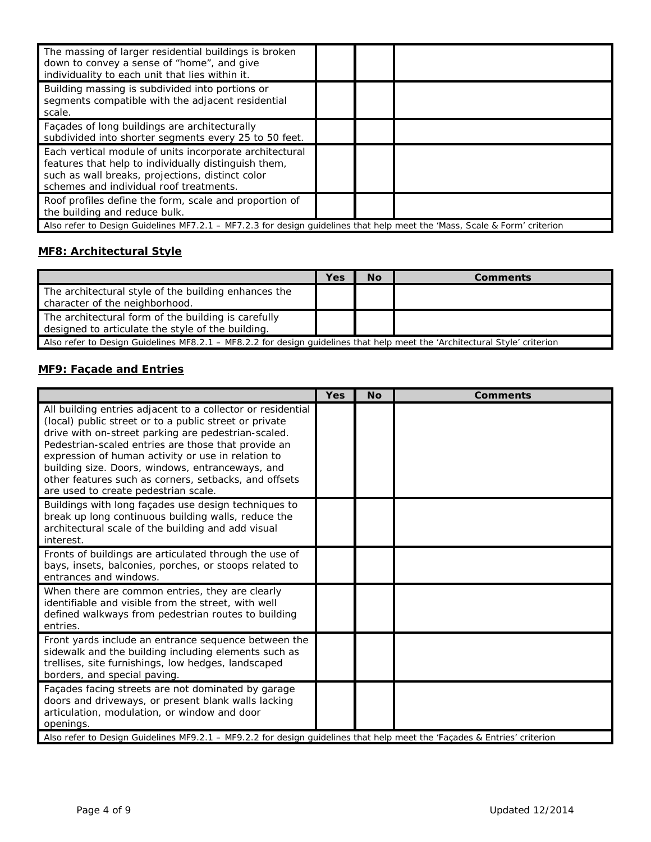| The massing of larger residential buildings is broken<br>down to convey a sense of "home", and give<br>individuality to each unit that lies within it.                                                         |  |  |
|----------------------------------------------------------------------------------------------------------------------------------------------------------------------------------------------------------------|--|--|
| Building massing is subdivided into portions or<br>segments compatible with the adjacent residential<br>scale.                                                                                                 |  |  |
| Façades of long buildings are architecturally<br>subdivided into shorter segments every 25 to 50 feet.                                                                                                         |  |  |
| Each vertical module of units incorporate architectural<br>features that help to individually distinguish them,<br>such as wall breaks, projections, distinct color<br>schemes and individual roof treatments. |  |  |
| Roof profiles define the form, scale and proportion of<br>the building and reduce bulk.                                                                                                                        |  |  |
| Also refer to Design Guidelines MF7.2.1 – MF7.2.3 for design guidelines that help meet the 'Mass, Scale & Form' criterion                                                                                      |  |  |

## **MF8: Architectural Style**

|                                                                                                                            | Yes | <b>No</b> | <b>Comments</b> |
|----------------------------------------------------------------------------------------------------------------------------|-----|-----------|-----------------|
| The architectural style of the building enhances the<br>character of the neighborhood.                                     |     |           |                 |
| The architectural form of the building is carefully<br>designed to articulate the style of the building.                   |     |           |                 |
| Also refer to Design Guidelines MF8.2.1 – MF8.2.2 for design quidelines that help meet the 'Architectural Style' criterion |     |           |                 |

## **MF9: Façade and Entries**

|                                                                                                                                                                                                                                                                                                                                                                                                                                                | <b>Yes</b> | <b>No</b> | <b>Comments</b> |
|------------------------------------------------------------------------------------------------------------------------------------------------------------------------------------------------------------------------------------------------------------------------------------------------------------------------------------------------------------------------------------------------------------------------------------------------|------------|-----------|-----------------|
| All building entries adjacent to a collector or residential<br>(local) public street or to a public street or private<br>drive with on-street parking are pedestrian-scaled.<br>Pedestrian-scaled entries are those that provide an<br>expression of human activity or use in relation to<br>building size. Doors, windows, entranceways, and<br>other features such as corners, setbacks, and offsets<br>are used to create pedestrian scale. |            |           |                 |
| Buildings with long façades use design techniques to<br>break up long continuous building walls, reduce the<br>architectural scale of the building and add visual<br>interest.                                                                                                                                                                                                                                                                 |            |           |                 |
| Fronts of buildings are articulated through the use of<br>bays, insets, balconies, porches, or stoops related to<br>entrances and windows.                                                                                                                                                                                                                                                                                                     |            |           |                 |
| When there are common entries, they are clearly<br>identifiable and visible from the street, with well<br>defined walkways from pedestrian routes to building<br>entries.                                                                                                                                                                                                                                                                      |            |           |                 |
| Front yards include an entrance sequence between the<br>sidewalk and the building including elements such as<br>trellises, site furnishings, low hedges, landscaped<br>borders, and special paving.                                                                                                                                                                                                                                            |            |           |                 |
| Façades facing streets are not dominated by garage<br>doors and driveways, or present blank walls lacking<br>articulation, modulation, or window and door<br>openings.<br>Also refer to Design Guidelines MF9.2.1 - MF9.2.2 for design guidelines that help meet the 'Façades & Entries' criterion                                                                                                                                             |            |           |                 |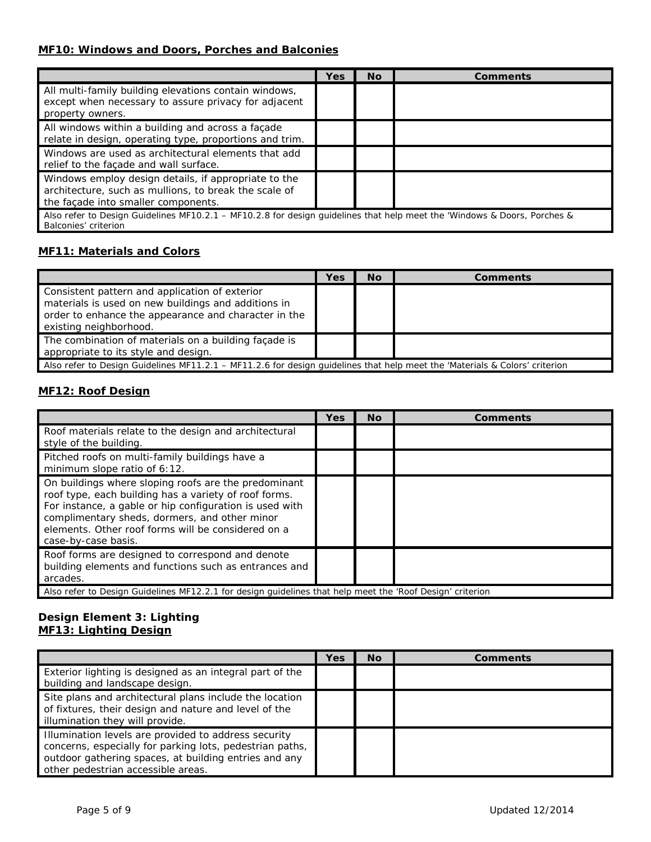#### **MF10: Windows and Doors, Porches and Balconies**

|                                                                                                                                                      | Yes | <b>No</b> | Comments |
|------------------------------------------------------------------------------------------------------------------------------------------------------|-----|-----------|----------|
| All multi-family building elevations contain windows,<br>except when necessary to assure privacy for adjacent<br>property owners.                    |     |           |          |
| All windows within a building and across a façade<br>relate in design, operating type, proportions and trim.                                         |     |           |          |
| Windows are used as architectural elements that add<br>relief to the facade and wall surface.                                                        |     |           |          |
| Windows employ design details, if appropriate to the<br>architecture, such as mullions, to break the scale of<br>the façade into smaller components. |     |           |          |
| Also refer to Design Guidelines MF10.2.1 - MF10.2.8 for design guidelines that help meet the 'Windows & Doors, Porches &<br>Balconies' criterion     |     |           |          |

#### **MF11: Materials and Colors**

|                                                                                                                                                                                         | Yes | No | <b>Comments</b> |
|-----------------------------------------------------------------------------------------------------------------------------------------------------------------------------------------|-----|----|-----------------|
| Consistent pattern and application of exterior<br>materials is used on new buildings and additions in<br>order to enhance the appearance and character in the<br>existing neighborhood. |     |    |                 |
| The combination of materials on a building façade is<br>appropriate to its style and design.                                                                                            |     |    |                 |
| Also refer to Design Guidelines MF11.2.1 – MF11.2.6 for design quidelines that help meet the 'Materials & Colors' criterion                                                             |     |    |                 |

#### **MF12: Roof Design**

|                                                                                                                                                                                                                                                                                                        | <b>Yes</b> | <b>No</b> | Comments |  |
|--------------------------------------------------------------------------------------------------------------------------------------------------------------------------------------------------------------------------------------------------------------------------------------------------------|------------|-----------|----------|--|
| Roof materials relate to the design and architectural<br>style of the building.                                                                                                                                                                                                                        |            |           |          |  |
| Pitched roofs on multi-family buildings have a<br>minimum slope ratio of 6:12.                                                                                                                                                                                                                         |            |           |          |  |
| On buildings where sloping roofs are the predominant<br>roof type, each building has a variety of roof forms.<br>For instance, a gable or hip configuration is used with<br>complimentary sheds, dormers, and other minor<br>elements. Other roof forms will be considered on a<br>case-by-case basis. |            |           |          |  |
| Roof forms are designed to correspond and denote<br>building elements and functions such as entrances and<br>arcades.                                                                                                                                                                                  |            |           |          |  |
| Also refer to Design Guidelines MF12.2.1 for design guidelines that help meet the 'Roof Design' criterion                                                                                                                                                                                              |            |           |          |  |

#### **Design Element 3: Lighting MF13: Lighting Design**

|                                                                                                                                                                                                                 | Yes | <b>No</b> | Comments |
|-----------------------------------------------------------------------------------------------------------------------------------------------------------------------------------------------------------------|-----|-----------|----------|
| Exterior lighting is designed as an integral part of the<br>building and landscape design.                                                                                                                      |     |           |          |
| Site plans and architectural plans include the location<br>of fixtures, their design and nature and level of the<br>illumination they will provide.                                                             |     |           |          |
| Illumination levels are provided to address security<br>concerns, especially for parking lots, pedestrian paths,<br>outdoor gathering spaces, at building entries and any<br>other pedestrian accessible areas. |     |           |          |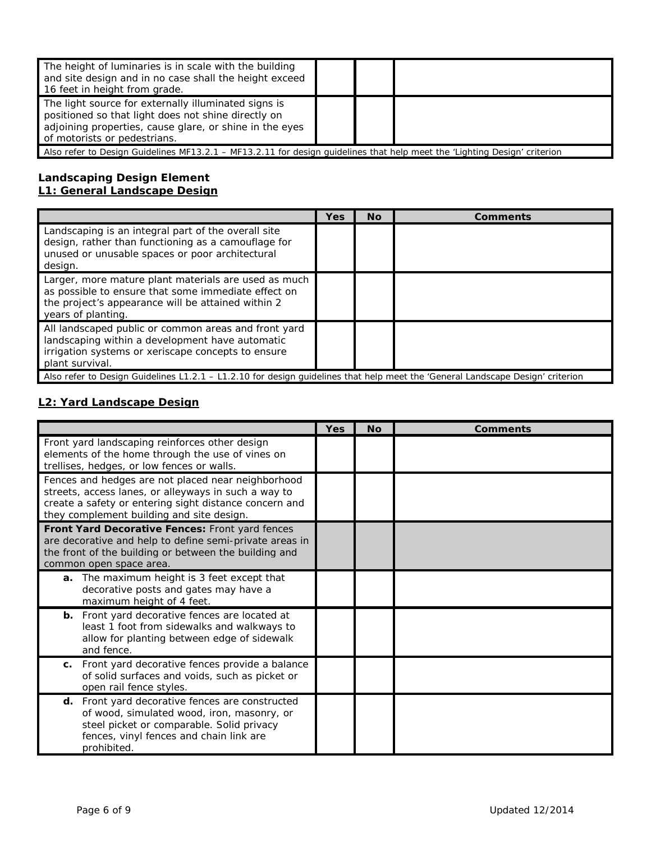| The height of luminaries is in scale with the building<br>and site design and in no case shall the height exceed<br>16 feet in height from grade.                                                      |  |  |  |
|--------------------------------------------------------------------------------------------------------------------------------------------------------------------------------------------------------|--|--|--|
| The light source for externally illuminated signs is<br>positioned so that light does not shine directly on<br>adjoining properties, cause glare, or shine in the eyes<br>of motorists or pedestrians. |  |  |  |
| Also refer to Design Guidelines MF13.2.1 – MF13.2.11 for design quidelines that help meet the 'Lighting Design' criterion                                                                              |  |  |  |

#### **Landscaping Design Element L1: General Landscape Design**

|                                                                                                                                                                                         | Yes | No. | <b>Comments</b> |  |
|-----------------------------------------------------------------------------------------------------------------------------------------------------------------------------------------|-----|-----|-----------------|--|
| Landscaping is an integral part of the overall site<br>design, rather than functioning as a camouflage for<br>unused or unusable spaces or poor architectural<br>design.                |     |     |                 |  |
| Larger, more mature plant materials are used as much<br>as possible to ensure that some immediate effect on<br>the project's appearance will be attained within 2<br>years of planting. |     |     |                 |  |
| All landscaped public or common areas and front yard<br>landscaping within a development have automatic<br>irrigation systems or xeriscape concepts to ensure<br>plant survival.        |     |     |                 |  |
| Also refer to Design Guidelines L1.2.1 – L1.2.10 for design quidelines that help meet the 'General Landscape Design' criterion                                                          |     |     |                 |  |

#### **L2: Yard Landscape Design**

|                                                                                                                                                                                                                   | <b>Yes</b> | <b>No</b> | <b>Comments</b> |
|-------------------------------------------------------------------------------------------------------------------------------------------------------------------------------------------------------------------|------------|-----------|-----------------|
| Front yard landscaping reinforces other design<br>elements of the home through the use of vines on<br>trellises, hedges, or low fences or walls.                                                                  |            |           |                 |
| Fences and hedges are not placed near neighborhood<br>streets, access lanes, or alleyways in such a way to<br>create a safety or entering sight distance concern and<br>they complement building and site design. |            |           |                 |
| Front Yard Decorative Fences: Front yard fences<br>are decorative and help to define semi-private areas in<br>the front of the building or between the building and<br>common open space area.                    |            |           |                 |
| a. The maximum height is 3 feet except that<br>decorative posts and gates may have a<br>maximum height of 4 feet.                                                                                                 |            |           |                 |
| <b>b.</b> Front yard decorative fences are located at<br>least 1 foot from sidewalks and walkways to<br>allow for planting between edge of sidewalk<br>and fence.                                                 |            |           |                 |
| Front yard decorative fences provide a balance<br>C.<br>of solid surfaces and voids, such as picket or<br>open rail fence styles.                                                                                 |            |           |                 |
| d. Front yard decorative fences are constructed<br>of wood, simulated wood, iron, masonry, or<br>steel picket or comparable. Solid privacy<br>fences, vinyl fences and chain link are<br>prohibited.              |            |           |                 |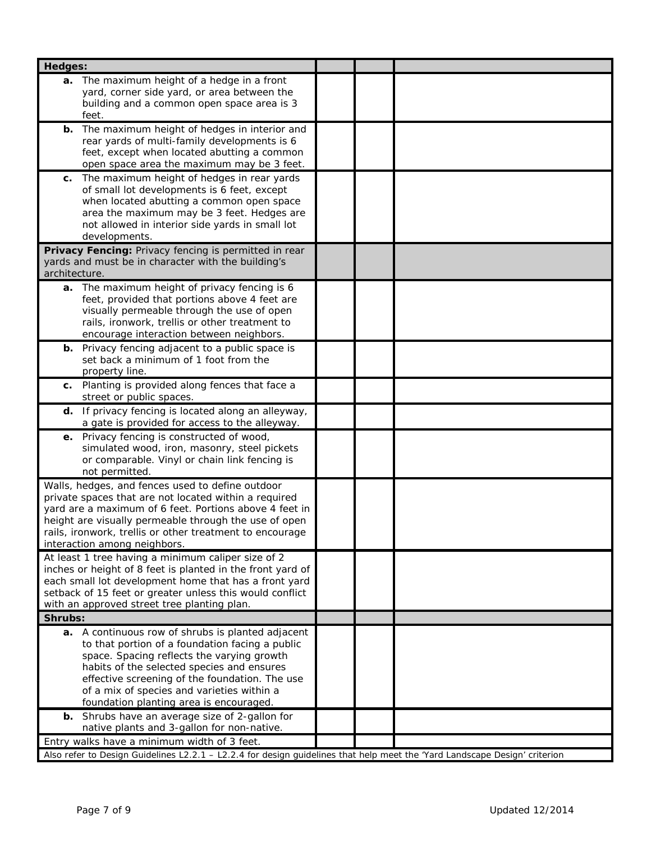| Hedges:                                                                                                                                                                                                                                                                                                                                     |  |
|---------------------------------------------------------------------------------------------------------------------------------------------------------------------------------------------------------------------------------------------------------------------------------------------------------------------------------------------|--|
| a. The maximum height of a hedge in a front<br>yard, corner side yard, or area between the<br>building and a common open space area is 3                                                                                                                                                                                                    |  |
| feet.<br>The maximum height of hedges in interior and<br>b.<br>rear yards of multi-family developments is 6<br>feet, except when located abutting a common<br>open space area the maximum may be 3 feet.                                                                                                                                    |  |
| The maximum height of hedges in rear yards<br>С.<br>of small lot developments is 6 feet, except<br>when located abutting a common open space<br>area the maximum may be 3 feet. Hedges are<br>not allowed in interior side yards in small lot<br>developments.                                                                              |  |
| Privacy Fencing: Privacy fencing is permitted in rear<br>yards and must be in character with the building's<br>architecture.                                                                                                                                                                                                                |  |
| a. The maximum height of privacy fencing is 6<br>feet, provided that portions above 4 feet are<br>visually permeable through the use of open<br>rails, ironwork, trellis or other treatment to<br>encourage interaction between neighbors.                                                                                                  |  |
| <b>b.</b> Privacy fencing adjacent to a public space is<br>set back a minimum of 1 foot from the<br>property line.                                                                                                                                                                                                                          |  |
| Planting is provided along fences that face a<br>С.<br>street or public spaces.                                                                                                                                                                                                                                                             |  |
| d. If privacy fencing is located along an alleyway,<br>a gate is provided for access to the alleyway.                                                                                                                                                                                                                                       |  |
| e. Privacy fencing is constructed of wood,<br>simulated wood, iron, masonry, steel pickets<br>or comparable. Vinyl or chain link fencing is<br>not permitted.                                                                                                                                                                               |  |
| Walls, hedges, and fences used to define outdoor<br>private spaces that are not located within a required<br>yard are a maximum of 6 feet. Portions above 4 feet in<br>height are visually permeable through the use of open<br>rails, ironwork, trellis or other treatment to encourage<br>interaction among neighbors.                    |  |
| At least 1 tree having a minimum caliper size of 2<br>inches or height of 8 feet is planted in the front yard of<br>each small lot development home that has a front yard<br>setback of 15 feet or greater unless this would conflict<br>with an approved street tree planting plan.                                                        |  |
| Shrubs:                                                                                                                                                                                                                                                                                                                                     |  |
| a. A continuous row of shrubs is planted adjacent<br>to that portion of a foundation facing a public<br>space. Spacing reflects the varying growth<br>habits of the selected species and ensures<br>effective screening of the foundation. The use<br>of a mix of species and varieties within a<br>foundation planting area is encouraged. |  |
| Shrubs have an average size of 2-gallon for<br>b.<br>native plants and 3-gallon for non-native.                                                                                                                                                                                                                                             |  |
| Entry walks have a minimum width of 3 feet.                                                                                                                                                                                                                                                                                                 |  |
| Also refer to Design Guidelines L2.2.1 - L2.2.4 for design guidelines that help meet the 'Yard Landscape Design' criterion                                                                                                                                                                                                                  |  |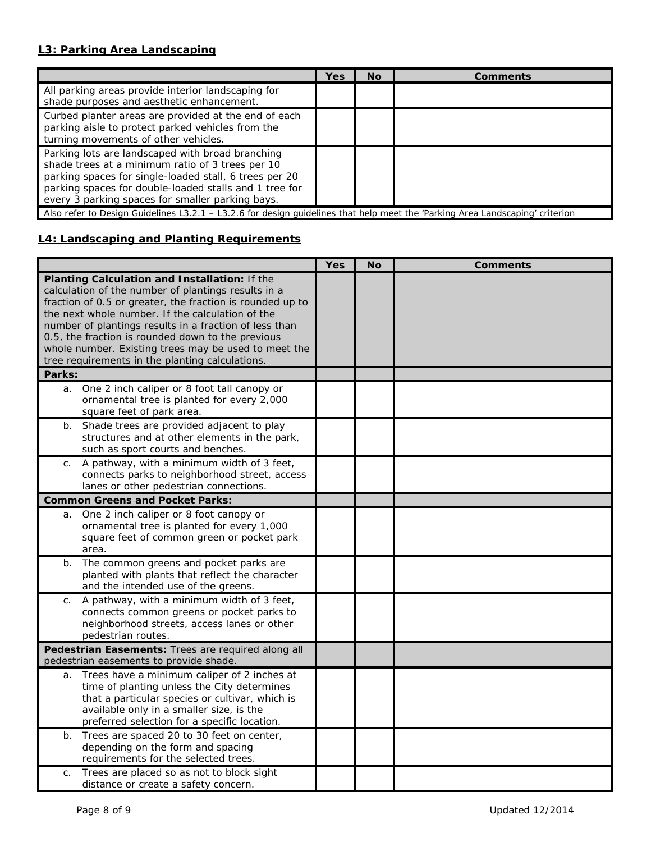## **L3: Parking Area Landscaping**

|                                                                                                                                                                                                                                                                              | Yes | <b>No</b> | Comments |
|------------------------------------------------------------------------------------------------------------------------------------------------------------------------------------------------------------------------------------------------------------------------------|-----|-----------|----------|
| All parking areas provide interior landscaping for<br>shade purposes and aesthetic enhancement.                                                                                                                                                                              |     |           |          |
| Curbed planter areas are provided at the end of each<br>parking aisle to protect parked vehicles from the<br>turning movements of other vehicles.                                                                                                                            |     |           |          |
| Parking lots are landscaped with broad branching<br>shade trees at a minimum ratio of 3 trees per 10<br>parking spaces for single-loaded stall, 6 trees per 20<br>parking spaces for double-loaded stalls and 1 tree for<br>every 3 parking spaces for smaller parking bays. |     |           |          |
| Also refer to Design Guidelines L3.2.1 - L3.2.6 for design guidelines that help meet the 'Parking Area Landscaping' criterion                                                                                                                                                |     |           |          |

## **L4: Landscaping and Planting Requirements**

|                                                                                                                                                                                                                                                                                                                                                                                                                                                           | Yes | <b>No</b> | <b>Comments</b> |
|-----------------------------------------------------------------------------------------------------------------------------------------------------------------------------------------------------------------------------------------------------------------------------------------------------------------------------------------------------------------------------------------------------------------------------------------------------------|-----|-----------|-----------------|
| Planting Calculation and Installation: If the<br>calculation of the number of plantings results in a<br>fraction of 0.5 or greater, the fraction is rounded up to<br>the next whole number. If the calculation of the<br>number of plantings results in a fraction of less than<br>0.5, the fraction is rounded down to the previous<br>whole number. Existing trees may be used to meet the<br>tree requirements in the planting calculations.<br>Parks: |     |           |                 |
|                                                                                                                                                                                                                                                                                                                                                                                                                                                           |     |           |                 |
| One 2 inch caliper or 8 foot tall canopy or<br>a.<br>ornamental tree is planted for every 2,000<br>square feet of park area.                                                                                                                                                                                                                                                                                                                              |     |           |                 |
| Shade trees are provided adjacent to play<br>$b$ .<br>structures and at other elements in the park,<br>such as sport courts and benches.                                                                                                                                                                                                                                                                                                                  |     |           |                 |
| A pathway, with a minimum width of 3 feet,<br>C.<br>connects parks to neighborhood street, access<br>lanes or other pedestrian connections.                                                                                                                                                                                                                                                                                                               |     |           |                 |
| <b>Common Greens and Pocket Parks:</b>                                                                                                                                                                                                                                                                                                                                                                                                                    |     |           |                 |
| One 2 inch caliper or 8 foot canopy or<br>a.<br>ornamental tree is planted for every 1,000<br>square feet of common green or pocket park<br>area.                                                                                                                                                                                                                                                                                                         |     |           |                 |
| The common greens and pocket parks are<br>b.<br>planted with plants that reflect the character<br>and the intended use of the greens.                                                                                                                                                                                                                                                                                                                     |     |           |                 |
| A pathway, with a minimum width of 3 feet,<br>$C_{1}$<br>connects common greens or pocket parks to<br>neighborhood streets, access lanes or other<br>pedestrian routes.                                                                                                                                                                                                                                                                                   |     |           |                 |
| Pedestrian Easements: Trees are required along all<br>pedestrian easements to provide shade.                                                                                                                                                                                                                                                                                                                                                              |     |           |                 |
| Trees have a minimum caliper of 2 inches at<br>a.<br>time of planting unless the City determines<br>that a particular species or cultivar, which is<br>available only in a smaller size, is the<br>preferred selection for a specific location.                                                                                                                                                                                                           |     |           |                 |
| Trees are spaced 20 to 30 feet on center,<br>b.<br>depending on the form and spacing<br>requirements for the selected trees.                                                                                                                                                                                                                                                                                                                              |     |           |                 |
| Trees are placed so as not to block sight<br>C.<br>distance or create a safety concern.                                                                                                                                                                                                                                                                                                                                                                   |     |           |                 |